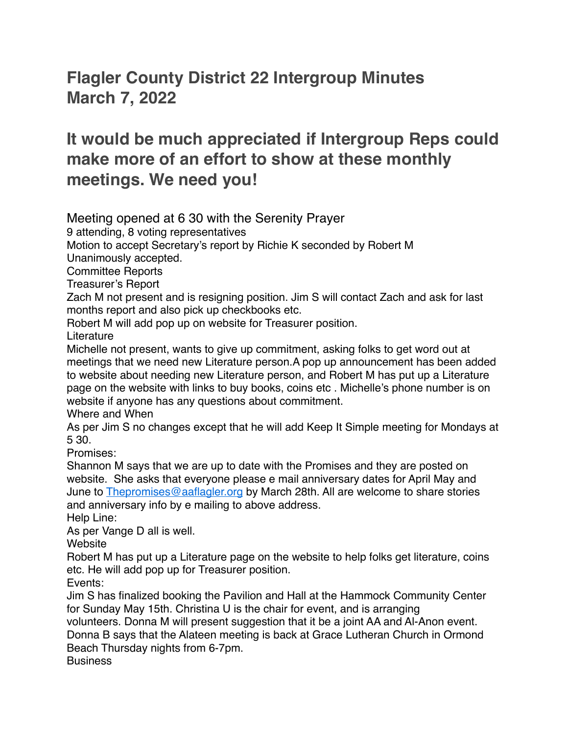## **Flagler County District 22 Intergroup Minutes March 7, 2022**

## **It would be much appreciated if Intergroup Reps could make more of an effort to show at these monthly meetings. We need you!**

Meeting opened at 6 30 with the Serenity Prayer

9 attending, 8 voting representatives

Motion to accept Secretary's report by Richie K seconded by Robert M

Unanimously accepted.

Committee Reports

Treasurer's Report

Zach M not present and is resigning position. Jim S will contact Zach and ask for last months report and also pick up checkbooks etc.

Robert M will add pop up on website for Treasurer position.

Literature

Michelle not present, wants to give up commitment, asking folks to get word out at meetings that we need new Literature person.A pop up announcement has been added to website about needing new Literature person, and Robert M has put up a Literature page on the website with links to buy books, coins etc . Michelle's phone number is on website if anyone has any questions about commitment.

Where and When

As per Jim S no changes except that he will add Keep It Simple meeting for Mondays at 5 30.

Promises:

Shannon M says that we are up to date with the Promises and they are posted on website. She asks that everyone please e mail anniversary dates for April May and June to [Thepromises@aaflagler.org](mailto:Thepromises@aaflagler.org) by March 28th. All are welcome to share stories and anniversary info by e mailing to above address.

Help Line:

As per Vange D all is well.

**Website** 

Robert M has put up a Literature page on the website to help folks get literature, coins etc. He will add pop up for Treasurer position.

Events:

Jim S has finalized booking the Pavilion and Hall at the Hammock Community Center for Sunday May 15th. Christina U is the chair for event, and is arranging

volunteers. Donna M will present suggestion that it be a joint AA and Al-Anon event. Donna B says that the Alateen meeting is back at Grace Lutheran Church in Ormond

Beach Thursday nights from 6-7pm.

**Business**